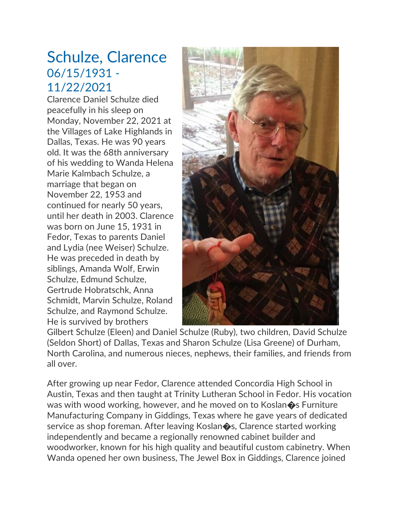## Schulze, Clarence 06/15/1931 - 11/22/2021

Clarence Daniel Schulze died peacefully in his sleep on Monday, November 22, 2021 at the Villages of Lake Highlands in Dallas, Texas. He was 90 years old. It was the 68th anniversary of his wedding to Wanda Helena Marie Kalmbach Schulze, a marriage that began on November 22, 1953 and continued for nearly 50 years, until her death in 2003. Clarence was born on June 15, 1931 in Fedor, Texas to parents Daniel and Lydia (nee Weiser) Schulze. He was preceded in death by siblings, Amanda Wolf, Erwin Schulze, Edmund Schulze, Gertrude Hobratschk, Anna Schmidt, Marvin Schulze, Roland Schulze, and Raymond Schulze. He is survived by brothers



Gilbert Schulze (Eleen) and Daniel Schulze (Ruby), two children, David Schulze (Seldon Short) of Dallas, Texas and Sharon Schulze (Lisa Greene) of Durham, North Carolina, and numerous nieces, nephews, their families, and friends from all over.

After growing up near Fedor, Clarence attended Concordia High School in Austin, Texas and then taught at Trinity Lutheran School in Fedor. His vocation was with wood working, however, and he moved on to Koslan $\diamondsuit$ s Furniture Manufacturing Company in Giddings, Texas where he gave years of dedicated service as shop foreman. After leaving Koslan $\diamondsuit$ s, Clarence started working independently and became a regionally renowned cabinet builder and woodworker, known for his high quality and beautiful custom cabinetry. When Wanda opened her own business, The Jewel Box in Giddings, Clarence joined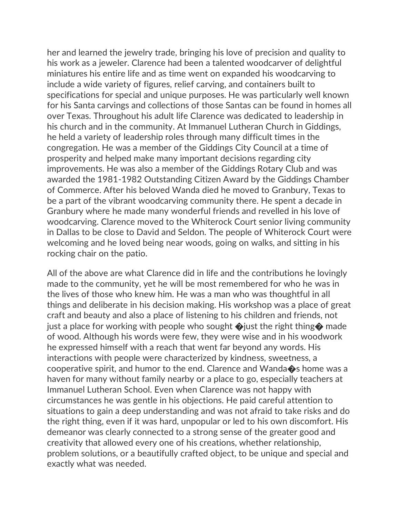her and learned the jewelry trade, bringing his love of precision and quality to his work as a jeweler. Clarence had been a talented woodcarver of delightful miniatures his entire life and as time went on expanded his woodcarving to include a wide variety of figures, relief carving, and containers built to specifications for special and unique purposes. He was particularly well known for his Santa carvings and collections of those Santas can be found in homes all over Texas. Throughout his adult life Clarence was dedicated to leadership in his church and in the community. At Immanuel Lutheran Church in Giddings, he held a variety of leadership roles through many difficult times in the congregation. He was a member of the Giddings City Council at a time of prosperity and helped make many important decisions regarding city improvements. He was also a member of the Giddings Rotary Club and was awarded the 1981-1982 Outstanding Citizen Award by the Giddings Chamber of Commerce. After his beloved Wanda died he moved to Granbury, Texas to be a part of the vibrant woodcarving community there. He spent a decade in Granbury where he made many wonderful friends and revelled in his love of woodcarving. Clarence moved to the Whiterock Court senior living community in Dallas to be close to David and Seldon. The people of Whiterock Court were welcoming and he loved being near woods, going on walks, and sitting in his rocking chair on the patio.

All of the above are what Clarence did in life and the contributions he lovingly made to the community, yet he will be most remembered for who he was in the lives of those who knew him. He was a man who was thoughtful in all things and deliberate in his decision making. His workshop was a place of great craft and beauty and also a place of listening to his children and friends, not just a place for working with people who sought  $\bigcirc$  just the right thing  $\bigcirc$  made of wood. Although his words were few, they were wise and in his woodwork he expressed himself with a reach that went far beyond any words. His interactions with people were characterized by kindness, sweetness, a cooperative spirit, and humor to the end. Clarence and Wanda�s home was a haven for many without family nearby or a place to go, especially teachers at Immanuel Lutheran School. Even when Clarence was not happy with circumstances he was gentle in his objections. He paid careful attention to situations to gain a deep understanding and was not afraid to take risks and do the right thing, even if it was hard, unpopular or led to his own discomfort. His demeanor was clearly connected to a strong sense of the greater good and creativity that allowed every one of his creations, whether relationship, problem solutions, or a beautifully crafted object, to be unique and special and exactly what was needed.